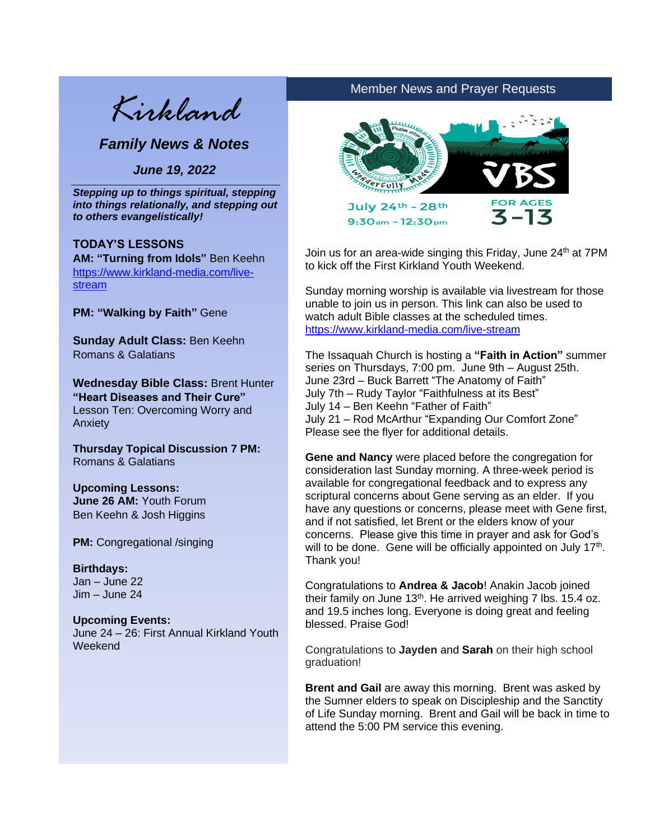*Kirkland*

*Family News & Notes*

*June 19, 2022*

*Stepping up to things spiritual, stepping into things relationally, and stepping out*  **Stepping up** to things **spiritual, to others evangelistically!** 

#### **TODAY'S LESSONS** and **stepping out** to others

**IODAY'S LESSONS<br><b>AM: "Turning from Idols"** Ben Keehn [https://www.kirkland-media.com/live](https://www.kirkland-media.com/live-stream)[stream](https://www.kirkland-media.com/live-stream)

**PM: "Walking by Faith"** Gene

**Sunday Adult Class:** Ben Keehn Romans & Galatians

**Wednesday Bible Class:** Brent Hunter **"Heart Diseases and Their Cure"** Lesson Ten: Overcoming Worry and Anxiety

**Thursday Topical Discussion 7 PM:** Romans & Galatians

**Upcoming Lessons: June 26 AM:** Youth Forum Ben Keehn & Josh Higgins

**PM:** Congregational /singing

## **Birthdays:**

Jan – June 22 Jim – June 24

#### **Upcoming Events:**

June 24 – 26: First Annual Kirkland Youth Weekend

# Member News and Prayer Requests



Join us for an area-wide singing this Friday, June 24<sup>th</sup> at 7PM to kick off the First Kirkland Youth Weekend.

Sunday morning worship is available via livestream for those unable to join us in person. This link can also be used to watch adult Bible classes at the scheduled times. <https://www.kirkland-media.com/live-stream>

The Issaquah Church is hosting a **"Faith in Action"** summer series on Thursdays, 7:00 pm. June 9th – August 25th. June 23rd – Buck Barrett "The Anatomy of Faith" July 7th – Rudy Taylor "Faithfulness at its Best" July 14 – Ben Keehn "Father of Faith" July 21 – Rod McArthur "Expanding Our Comfort Zone" Please see the flyer for additional details.

**Gene and Nancy** were placed before the congregation for consideration last Sunday morning. A three-week period is available for congregational feedback and to express any scriptural concerns about Gene serving as an elder. If you have any questions or concerns, please meet with Gene first, and if not satisfied, let Brent or the elders know of your concerns. Please give this time in prayer and ask for God's will to be done. Gene will be officially appointed on July 17<sup>th</sup>. Thank you!

Congratulations to **Andrea & Jacob**! Anakin Jacob joined their family on June  $13<sup>th</sup>$ . He arrived weighing 7 lbs. 15.4 oz. and 19.5 inches long. Everyone is doing great and feeling blessed. Praise God!

Congratulations to **Jayden** and **Sarah** on their high school graduation!

**Brent and Gail** are away this morning. Brent was asked by the Sumner elders to speak on Discipleship and the Sanctity of Life Sunday morning. Brent and Gail will be back in time to attend the 5:00 PM service this evening.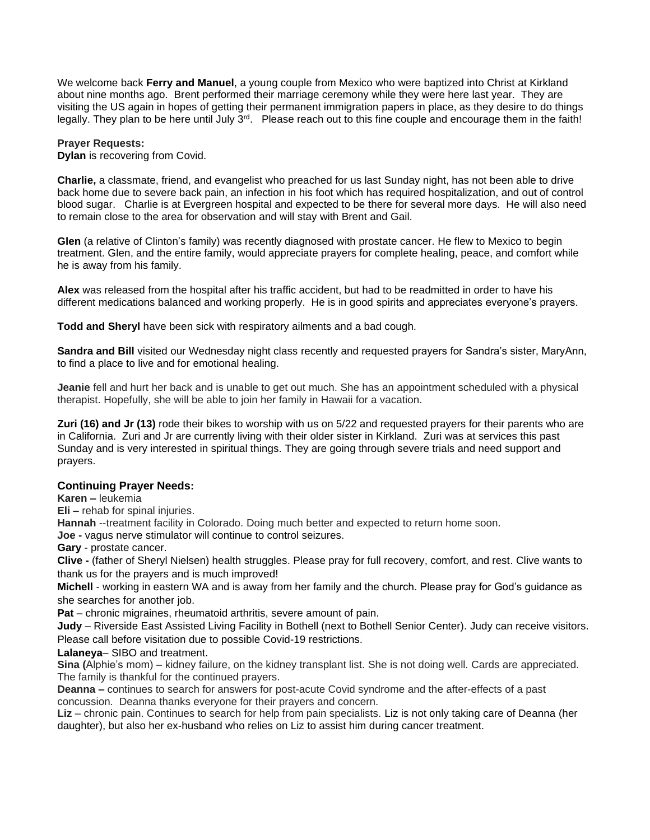We welcome back **Ferry and Manuel**, a young couple from Mexico who were baptized into Christ at Kirkland about nine months ago. Brent performed their marriage ceremony while they were here last year. They are visiting the US again in hopes of getting their permanent immigration papers in place, as they desire to do things legally. They plan to be here until July 3<sup>rd</sup>. Please reach out to this fine couple and encourage them in the faith!

#### **Prayer Requests:**

**Dylan** is recovering from Covid.

**Charlie,** a classmate, friend, and evangelist who preached for us last Sunday night, has not been able to drive back home due to severe back pain, an infection in his foot which has required hospitalization, and out of control blood sugar. Charlie is at Evergreen hospital and expected to be there for several more days. He will also need to remain close to the area for observation and will stay with Brent and Gail.

**Glen** (a relative of Clinton's family) was recently diagnosed with prostate cancer. He flew to Mexico to begin treatment. Glen, and the entire family, would appreciate prayers for complete healing, peace, and comfort while he is away from his family.

**Alex** was released from the hospital after his traffic accident, but had to be readmitted in order to have his different medications balanced and working properly. He is in good spirits and appreciates everyone's prayers.

**Todd and Sheryl** have been sick with respiratory ailments and a bad cough.

**Sandra and Bill** visited our Wednesday night class recently and requested prayers for Sandra's sister, MaryAnn, to find a place to live and for emotional healing.

**Jeanie** fell and hurt her back and is unable to get out much. She has an appointment scheduled with a physical therapist. Hopefully, she will be able to join her family in Hawaii for a vacation.

**Zuri (16) and Jr (13)** rode their bikes to worship with us on 5/22 and requested prayers for their parents who are in California. Zuri and Jr are currently living with their older sister in Kirkland. Zuri was at services this past Sunday and is very interested in spiritual things. They are going through severe trials and need support and prayers.

#### **Continuing Prayer Needs:**

**Karen –** leukemia

**Eli –** rehab for spinal injuries.

**Hannah** --treatment facility in Colorado. Doing much better and expected to return home soon.

**Joe -** vagus nerve stimulator will continue to control seizures.

**Gary** - prostate cancer.

**Clive -** (father of Sheryl Nielsen) health struggles. Please pray for full recovery, comfort, and rest. Clive wants to thank us for the prayers and is much improved!

**Michell** - working in eastern WA and is away from her family and the church. Please pray for God's guidance as she searches for another job.

**Pat** – chronic migraines, rheumatoid arthritis, severe amount of pain.

**Judy** – Riverside East Assisted Living Facility in Bothell (next to Bothell Senior Center). Judy can receive visitors. Please call before visitation due to possible Covid-19 restrictions.

#### **Lalaneya**– SIBO and treatment.

**Sina (**Alphie's mom) – kidney failure, on the kidney transplant list. She is not doing well. Cards are appreciated. The family is thankful for the continued prayers.

**Deanna –** continues to search for answers for post-acute Covid syndrome and the after-effects of a past concussion. Deanna thanks everyone for their prayers and concern.

**Liz** – chronic pain. Continues to search for help from pain specialists. Liz is not only taking care of Deanna (her daughter), but also her ex-husband who relies on Liz to assist him during cancer treatment.